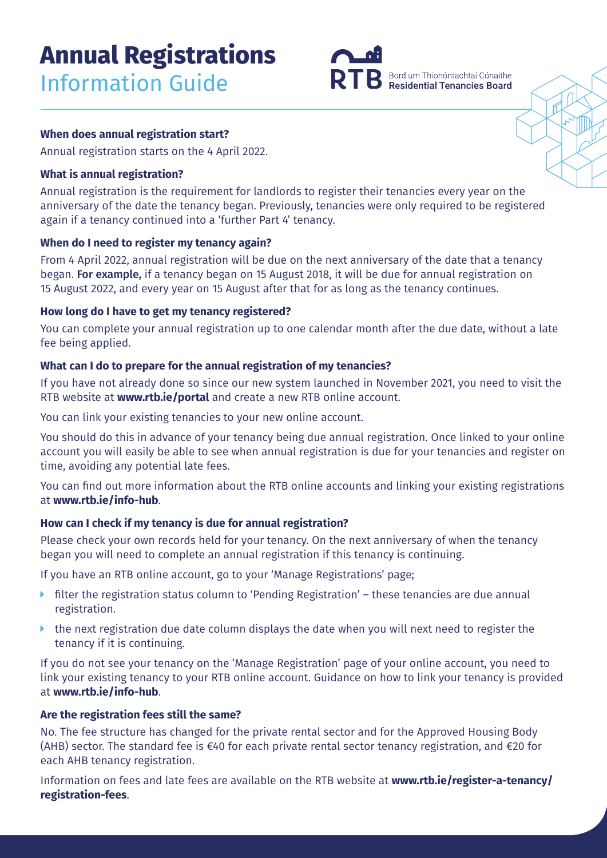# **Annual Registrations** Information Guide



## **When does annual registration start?**

Annual registration starts on the 4 April 2022.

## **What is annual registration?**

Annual registration is the requirement for landlords to register their tenancies every year on the anniversary of the date the tenancy began. Previously, tenancies were only required to be registered again if a tenancy continued into a 'further Part 4' tenancy.

## **When do I need to register my tenancy again?**

From 4 April 2022, annual registration will be due on the next anniversary of the date that a tenancy began. For example, if a tenancy began on 15 August 2018, it will be due for annual registration on 15 August 2022, and every year on 15 August after that for as long as the tenancy continues.

## **How long do I have to get my tenancy registered?**

You can complete your annual registration up to one calendar month after the due date, without a late fee being applied.

## **What can I do to prepare for the annual registration of my tenancies?**

If you have not already done so since our new system launched in November 2021, you need to visit the RTB website at **www.rtb.ie/portal** and create a new RTB online account.

You can link your existing tenancies to your new online account.

You should do this in advance of your tenancy being due annual registration. Once linked to your online account you will easily be able to see when annual registration is due for your tenancies and register on time, avoiding any potential late fees.

You can find out more information about the RTB online accounts and linking your existing registrations at **www.rtb.ie/info-hub**.

# **How can I check if my tenancy is due for annual registration?**

Please check your own records held for your tenancy. On the next anniversary of when the tenancy began you will need to complete an annual registration if this tenancy is continuing.

If you have an RTB online account, go to your 'Manage Registrations' page;

- filter the registration status column to 'Pending Registration' these tenancies are due annual registration.
- $\blacktriangleright$  the next registration due date column displays the date when you will next need to register the tenancy if it is continuing.

If you do not see your tenancy on the 'Manage Registration' page of your online account, you need to link your existing tenancy to your RTB online account. Guidance on how to link your tenancy is provided at **www.rtb.ie/info-hub**.

# **Are the registration fees still the same?**

No. The fee structure has changed for the private rental sector and for the Approved Housing Body (AHB) sector. The standard fee is €40 for each private rental sector tenancy registration, and €20 for each AHB tenancy registration.

Information on fees and late fees are available on the RTB website at **[www.rtb.ie/register-a-tenancy/](https://www.rtb.ie/register-a-tenancy/registration-fees) [registration-fees](https://www.rtb.ie/register-a-tenancy/registration-fees)**.